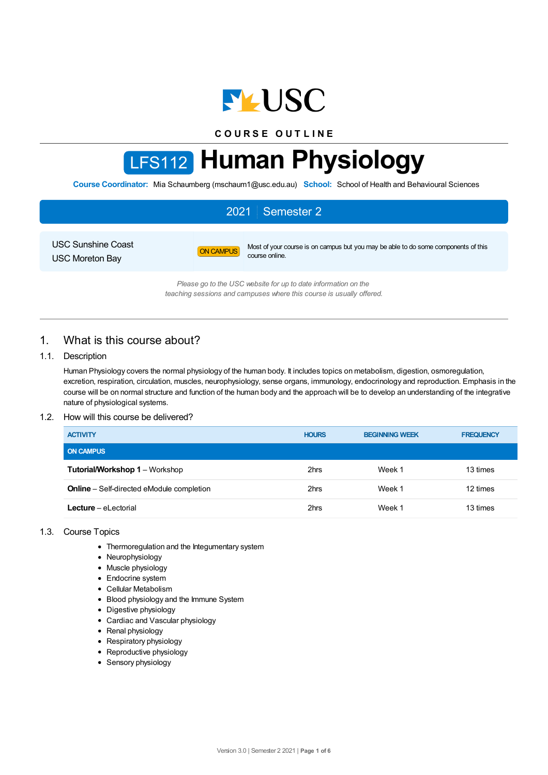

**C O U R S E O U T L I N E**

# LFS112 **Human Physiology**

**Course Coordinator:** Mia Schaumberg (mschaum1@usc.edu.au) **School:** School of Health and Behavioural Sciences

# 2021 Semester 2

USC Sunshine Coast USC Moreton Bay

ON CAMPUS Most of your course is on campus but you may be able to do some components of this course online.

*Please go to the USC website for up to date information on the teaching sessions and campuses where this course is usually offered.*

# 1. What is this course about?

## 1.1. Description

Human Physiology covers the normal physiology of the human body. It includes topics on metabolism, digestion, osmoregulation, excretion, respiration, circulation, muscles, neurophysiology, sense organs, immunology, endocrinology and reproduction. Emphasis in the course will be on normal structure and function of the human body and the approach will be to develop an understanding of the integrative nature of physiological systems.

## 1.2. How will this course be delivered?

| <b>ACTIVITY</b>                                  | <b>HOURS</b> | <b>BEGINNING WEEK</b> | <b>FREQUENCY</b> |
|--------------------------------------------------|--------------|-----------------------|------------------|
| <b>ON CAMPUS</b>                                 |              |                       |                  |
| <b>Tutorial/Workshop 1 - Workshop</b>            | 2hrs         | Week 1                | 13 times         |
| <b>Online</b> – Self-directed eModule completion | 2hrs         | Week 1                | 12 times         |
| Lecture - eLectorial                             | 2hrs         | Week 1                | 13 times         |

## 1.3. Course Topics

- Thermoregulation and the Integumentary system
- Neurophysiology
- Muscle physiology
- Endocrine system
- Cellular Metabolism
- Blood physiology and the Immune System
- Digestive physiology
- Cardiac and Vascular physiology
- Renal physiology
- Respiratory physiology
- Reproductive physiology
- Sensory physiology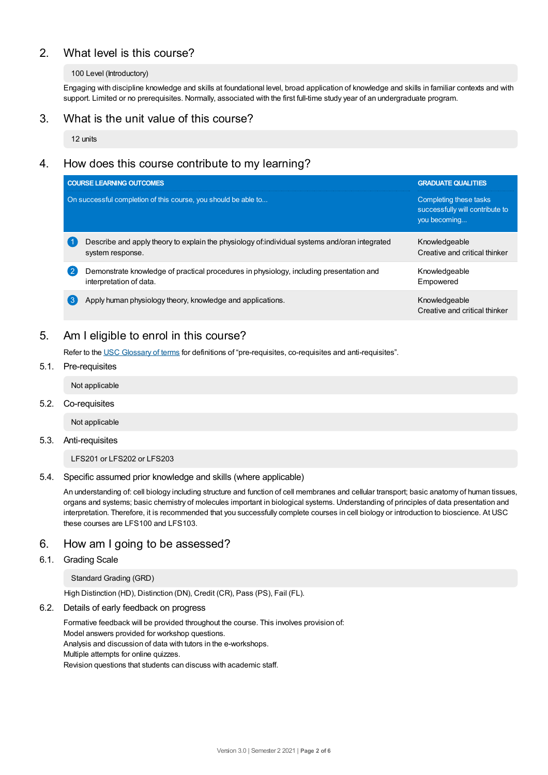# 2. What level is this course?

### 100 Level (Introductory)

Engaging with discipline knowledge and skills at foundational level, broad application of knowledge and skills in familiar contexts and with support. Limited or no prerequisites. Normally, associated with the first full-time study year of an undergraduate program.

# 3. What is the unit value of this course?

12 units

# 4. How does this course contribute to my learning?

|              | <b>COURSE LEARNING OUTCOMES</b>                                                                                    | <b>GRADUATE QUALITIES</b>                                                 |
|--------------|--------------------------------------------------------------------------------------------------------------------|---------------------------------------------------------------------------|
|              | On successful completion of this course, you should be able to                                                     | Completing these tasks<br>successfully will contribute to<br>you becoming |
|              | Describe and apply theory to explain the physiology of individual systems and/oran integrated<br>system response.  | Knowledgeable<br>Creative and critical thinker                            |
| $\mathbf{2}$ | Demonstrate knowledge of practical procedures in physiology, including presentation and<br>interpretation of data. | Knowledgeable<br>Empowered                                                |
| 3            | Apply human physiology theory, knowledge and applications.                                                         | Knowledgeable<br>Creative and critical thinker                            |

# 5. Am Ieligible to enrol in this course?

Refer to the USC [Glossary](https://www.usc.edu.au/about/policies-and-procedures/glossary-of-terms-for-policy-and-procedures) of terms for definitions of "pre-requisites, co-requisites and anti-requisites".

- 5.1. Pre-requisites
	- Not applicable
- 5.2. Co-requisites

Not applicable

5.3. Anti-requisites

LFS201 or LFS202 or LFS203

## 5.4. Specific assumed prior knowledge and skills (where applicable)

An understanding of: cell biology including structure and function of cell membranes and cellular transport; basic anatomy of human tissues, organs and systems; basic chemistry of molecules important in biological systems. Understanding of principles of data presentation and interpretation. Therefore, it is recommended that you successfully complete courses in cell biology or introduction to bioscience. At USC these courses are LFS100 and LFS103.

# 6. How am Igoing to be assessed?

#### 6.1. Grading Scale

#### Standard Grading (GRD)

High Distinction (HD), Distinction (DN), Credit (CR), Pass (PS), Fail (FL).

## 6.2. Details of early feedback on progress

Formative feedback will be provided throughout the course. This involves provision of: Model answers provided for workshop questions. Analysis and discussion of data with tutors in the e-workshops. Multiple attempts for online quizzes. Revision questions that students can discuss with academic staff.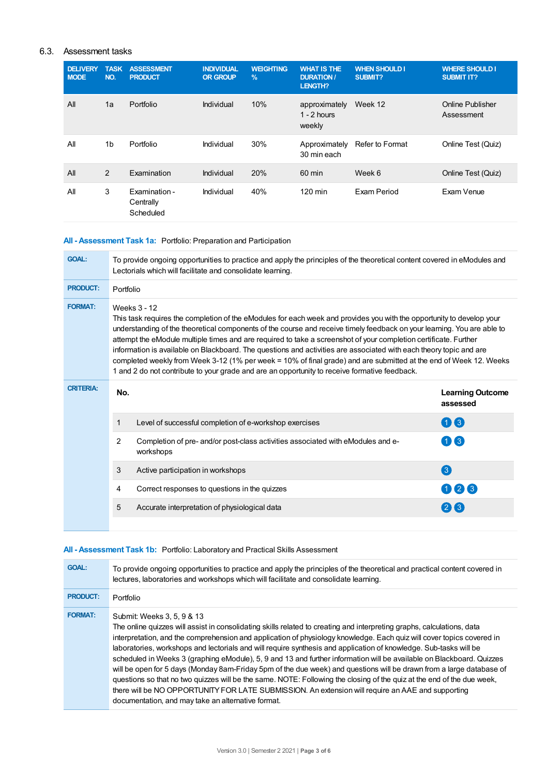## 6.3. Assessment tasks

| <b>DELIVERY</b><br><b>MODE</b> | <b>TASK</b><br>NO. | <b>ASSESSMENT</b><br><b>PRODUCT</b>     | <b>INDIVIDUAL</b><br><b>OR GROUP</b> | <b>WEIGHTING</b><br>$\%$ | <b>WHAT IS THE</b><br><b>DURATION /</b><br><b>LENGTH?</b> | <b>WHEN SHOULD I</b><br><b>SUBMIT?</b> | <b>WHERE SHOULD I</b><br><b>SUBMIT IT?</b> |
|--------------------------------|--------------------|-----------------------------------------|--------------------------------------|--------------------------|-----------------------------------------------------------|----------------------------------------|--------------------------------------------|
| All                            | 1a                 | Portfolio                               | Individual                           | 10%                      | approximately<br>$1 - 2$ hours<br>weekly                  | Week 12                                | Online Publisher<br>Assessment             |
| All                            | 1 <sub>b</sub>     | Portfolio                               | Individual                           | 30%                      | Approximately<br>30 min each                              | Refer to Format                        | Online Test (Quiz)                         |
| All                            | 2                  | Examination                             | Individual                           | 20%                      | $60 \text{ min}$                                          | Week 6                                 | Online Test (Quiz)                         |
| All                            | 3                  | Examination -<br>Centrally<br>Scheduled | Individual                           | 40%                      | 120 min                                                   | Exam Period                            | Exam Venue                                 |

## **All - Assessment Task 1a:** Portfolio: Preparation and Participation

| <b>GOAL:</b>     | To provide ongoing opportunities to practice and apply the principles of the theoretical content covered in eModules and<br>Lectorials which will facilitate and consolidate learning.                                                                                                                                                                                                                                                                                                                                                                                                                                                                                                                                           |                                                                                              |                                     |  |  |  |
|------------------|----------------------------------------------------------------------------------------------------------------------------------------------------------------------------------------------------------------------------------------------------------------------------------------------------------------------------------------------------------------------------------------------------------------------------------------------------------------------------------------------------------------------------------------------------------------------------------------------------------------------------------------------------------------------------------------------------------------------------------|----------------------------------------------------------------------------------------------|-------------------------------------|--|--|--|
| <b>PRODUCT:</b>  | Portfolio                                                                                                                                                                                                                                                                                                                                                                                                                                                                                                                                                                                                                                                                                                                        |                                                                                              |                                     |  |  |  |
| <b>FORMAT:</b>   | Weeks 3 - 12<br>This task requires the completion of the eModules for each week and provides you with the opportunity to develop your<br>understanding of the theoretical components of the course and receive timely feedback on your learning. You are able to<br>attempt the eModule multiple times and are required to take a screenshot of your completion certificate. Further<br>information is available on Blackboard. The questions and activities are associated with each theory topic and are<br>completed weekly from Week 3-12 (1% per week = 10% of final grade) and are submitted at the end of Week 12. Weeks<br>1 and 2 do not contribute to your grade and are an opportunity to receive formative feedback. |                                                                                              |                                     |  |  |  |
| <b>CRITERIA:</b> | No.                                                                                                                                                                                                                                                                                                                                                                                                                                                                                                                                                                                                                                                                                                                              |                                                                                              | <b>Learning Outcome</b><br>assessed |  |  |  |
|                  | 1                                                                                                                                                                                                                                                                                                                                                                                                                                                                                                                                                                                                                                                                                                                                | Level of successful completion of e-workshop exercises                                       | 08                                  |  |  |  |
|                  | 2                                                                                                                                                                                                                                                                                                                                                                                                                                                                                                                                                                                                                                                                                                                                | Completion of pre- and/or post-class activities associated with eModules and e-<br>workshops | 08                                  |  |  |  |
|                  | 3                                                                                                                                                                                                                                                                                                                                                                                                                                                                                                                                                                                                                                                                                                                                | Active participation in workshops                                                            | 3                                   |  |  |  |
|                  | 4                                                                                                                                                                                                                                                                                                                                                                                                                                                                                                                                                                                                                                                                                                                                | Correct responses to questions in the quizzes                                                | 0 2 3                               |  |  |  |
|                  | 5                                                                                                                                                                                                                                                                                                                                                                                                                                                                                                                                                                                                                                                                                                                                | Accurate interpretation of physiological data                                                | 26                                  |  |  |  |
|                  |                                                                                                                                                                                                                                                                                                                                                                                                                                                                                                                                                                                                                                                                                                                                  |                                                                                              |                                     |  |  |  |

## **All - Assessment Task 1b:** Portfolio: Laboratory and Practical Skills Assessment

| <b>GOAL:</b>    | To provide ongoing opportunities to practice and apply the principles of the theoretical and practical content covered in<br>lectures, laboratories and workshops which will facilitate and consolidate learning.                                                                                                                                                                                                                                                                                                                                                                                                                                                                                                                                                                                                                                                                                                                        |
|-----------------|------------------------------------------------------------------------------------------------------------------------------------------------------------------------------------------------------------------------------------------------------------------------------------------------------------------------------------------------------------------------------------------------------------------------------------------------------------------------------------------------------------------------------------------------------------------------------------------------------------------------------------------------------------------------------------------------------------------------------------------------------------------------------------------------------------------------------------------------------------------------------------------------------------------------------------------|
| <b>PRODUCT:</b> | Portfolio                                                                                                                                                                                                                                                                                                                                                                                                                                                                                                                                                                                                                                                                                                                                                                                                                                                                                                                                |
| <b>FORMAT:</b>  | Submit: Weeks 3, 5, 9 & 13<br>The online quizzes will assist in consolidating skills related to creating and interpreting graphs, calculations, data<br>interpretation, and the comprehension and application of physiology knowledge. Each quiz will cover topics covered in<br>laboratories, workshops and lectorials and will require synthesis and application of knowledge. Sub-tasks will be<br>scheduled in Weeks 3 (graphing eModule), 5, 9 and 13 and further information will be available on Blackboard. Quizzes<br>will be open for 5 days (Monday 8am-Friday 5pm of the due week) and questions will be drawn from a large database of<br>questions so that no two quizzes will be the same. NOTE: Following the closing of the quiz at the end of the due week,<br>there will be NO OPPORTUNITY FOR LATE SUBMISSION. An extension will require an AAE and supporting<br>documentation, and may take an alternative format. |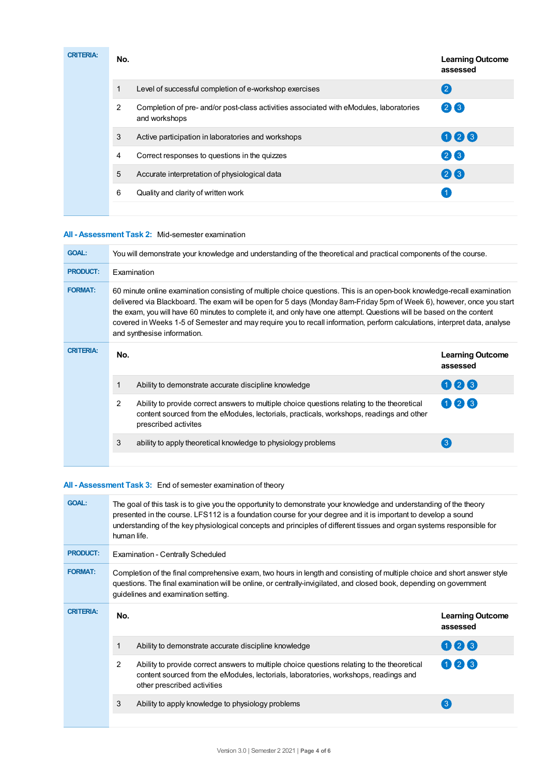| <b>CRITERIA:</b> | No. |                                                                                                         | <b>Learning Outcome</b><br>assessed |
|------------------|-----|---------------------------------------------------------------------------------------------------------|-------------------------------------|
|                  |     | Level of successful completion of e-workshop exercises                                                  | (2)                                 |
|                  | 2   | Completion of pre- and/or post-class activities associated with eModules, laboratories<br>and workshops | 26                                  |
|                  | 3   | Active participation in laboratories and workshops                                                      | 026                                 |
|                  | 4   | Correct responses to questions in the quizzes                                                           | 28                                  |
|                  | 5   | Accurate interpretation of physiological data                                                           | 28                                  |
|                  | 6   | Quality and clarity of written work                                                                     |                                     |
|                  |     |                                                                                                         |                                     |

### **All - Assessment Task 2:** Mid-semester examination

| <b>GOAL:</b>     | You will demonstrate your knowledge and understanding of the theoretical and practical components of the course.                                                                                                                                                                                                                                                                                                                                                                                                                     |                                                                                                                                                                                                                 |                                     |  |  |  |
|------------------|--------------------------------------------------------------------------------------------------------------------------------------------------------------------------------------------------------------------------------------------------------------------------------------------------------------------------------------------------------------------------------------------------------------------------------------------------------------------------------------------------------------------------------------|-----------------------------------------------------------------------------------------------------------------------------------------------------------------------------------------------------------------|-------------------------------------|--|--|--|
| <b>PRODUCT:</b>  | Examination                                                                                                                                                                                                                                                                                                                                                                                                                                                                                                                          |                                                                                                                                                                                                                 |                                     |  |  |  |
| <b>FORMAT:</b>   | 60 minute online examination consisting of multiple choice questions. This is an open-book knowledge-recall examination<br>delivered via Blackboard. The exam will be open for 5 days (Monday 8am-Friday 5pm of Week 6), however, once you start<br>the exam, you will have 60 minutes to complete it, and only have one attempt. Questions will be based on the content<br>covered in Weeks 1-5 of Semester and may require you to recall information, perform calculations, interpret data, analyse<br>and synthesise information. |                                                                                                                                                                                                                 |                                     |  |  |  |
| <b>CRITERIA:</b> | No.                                                                                                                                                                                                                                                                                                                                                                                                                                                                                                                                  |                                                                                                                                                                                                                 | <b>Learning Outcome</b><br>assessed |  |  |  |
|                  | 1                                                                                                                                                                                                                                                                                                                                                                                                                                                                                                                                    | Ability to demonstrate accurate discipline knowledge                                                                                                                                                            | 008                                 |  |  |  |
|                  | $\overline{2}$                                                                                                                                                                                                                                                                                                                                                                                                                                                                                                                       | Ability to provide correct answers to multiple choice questions relating to the theoretical<br>content sourced from the eModules, lectorials, practicals, workshops, readings and other<br>prescribed activites | 023                                 |  |  |  |
|                  | 3                                                                                                                                                                                                                                                                                                                                                                                                                                                                                                                                    | ability to apply theoretical knowledge to physiology problems                                                                                                                                                   | $\left(3\right)$                    |  |  |  |
|                  |                                                                                                                                                                                                                                                                                                                                                                                                                                                                                                                                      |                                                                                                                                                                                                                 |                                     |  |  |  |

## **All - Assessment Task 3:** End of semester examination of theory

| <b>GOAL:</b>     | The goal of this task is to give you the opportunity to demonstrate your knowledge and understanding of the theory<br>presented in the course. LFS112 is a foundation course for your degree and it is important to develop a sound<br>understanding of the key physiological concepts and principles of different tissues and organ systems responsible for<br>human life. |                                     |  |  |  |
|------------------|-----------------------------------------------------------------------------------------------------------------------------------------------------------------------------------------------------------------------------------------------------------------------------------------------------------------------------------------------------------------------------|-------------------------------------|--|--|--|
| <b>PRODUCT:</b>  | <b>Examination - Centrally Scheduled</b>                                                                                                                                                                                                                                                                                                                                    |                                     |  |  |  |
| <b>FORMAT:</b>   | Completion of the final comprehensive exam, two hours in length and consisting of multiple choice and short answer style<br>questions. The final examination will be online, or centrally-invigilated, and closed book, depending on government<br>guidelines and examination setting.                                                                                      |                                     |  |  |  |
| <b>CRITERIA:</b> | No.                                                                                                                                                                                                                                                                                                                                                                         | <b>Learning Outcome</b><br>assessed |  |  |  |
|                  | Ability to demonstrate accurate discipline knowledge<br>1                                                                                                                                                                                                                                                                                                                   | 008                                 |  |  |  |
|                  | $\overline{2}$<br>Ability to provide correct answers to multiple choice questions relating to the theoretical<br>content sourced from the eModules, lectorials, laboratories, workshops, readings and<br>other prescribed activities                                                                                                                                        | 023                                 |  |  |  |
|                  | 3<br>Ability to apply knowledge to physiology problems                                                                                                                                                                                                                                                                                                                      | $\mathbf{3}$                        |  |  |  |
|                  |                                                                                                                                                                                                                                                                                                                                                                             |                                     |  |  |  |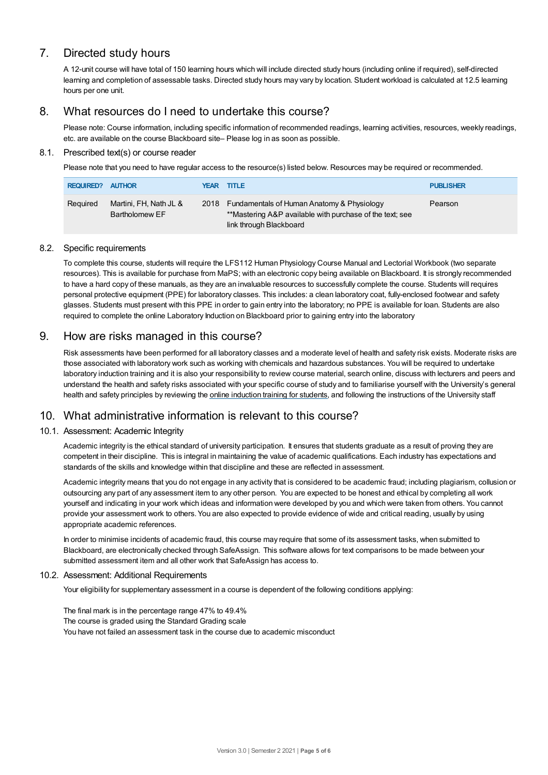# 7. Directed study hours

A 12-unit course will have total of 150 learning hours which will include directed study hours (including online if required), self-directed learning and completion of assessable tasks. Directed study hours may vary by location. Student workload is calculated at 12.5 learning hours per one unit.

# 8. What resources do I need to undertake this course?

Please note: Course information, including specific information of recommended readings, learning activities, resources, weekly readings, etc. are available on the course Blackboard site– Please log in as soon as possible.

## 8.1. Prescribed text(s) or course reader

Please note that you need to have regular access to the resource(s) listed below. Resources may be required or recommended.

| <b>REQUIRED?</b> | <b>AUTHOR</b>                            | YEAR | <b>TITLE</b>                                                                                                                      | <b>PUBLISHER</b> |
|------------------|------------------------------------------|------|-----------------------------------------------------------------------------------------------------------------------------------|------------------|
| Required         | Martini, FH, Nath JL &<br>Bartholomew EF | 2018 | Fundamentals of Human Anatomy & Physiology<br>**Mastering A&P available with purchase of the text; see<br>link through Blackboard | Pearson          |

#### 8.2. Specific requirements

To complete this course, students will require the LFS112 Human Physiology Course Manual and Lectorial Workbook (two separate resources). This is available for purchase from MaPS; with an electronic copy being available on Blackboard. It is strongly recommended to have a hard copy of these manuals, as they are an invaluable resources to successfully complete the course. Students will requires personal protective equipment (PPE) for laboratory classes. This includes: a clean laboratory coat, fully-enclosed footwear and safety glasses. Students must present with this PPE in order to gain entry into the laboratory; no PPE is available for loan. Students are also required to complete the online Laboratory Induction on Blackboard prior to gaining entry into the laboratory

## 9. How are risks managed in this course?

Risk assessments have been performed for all laboratory classes and a moderate level of health and safety risk exists. Moderate risks are those associated with laboratory work such as working with chemicals and hazardous substances. You will be required to undertake laboratory induction training and it is also your responsibility to review course material, search online, discuss with lecturers and peers and understand the health and safety risks associated with your specific course of study and to familiarise yourself with the University's general health and safety principles by reviewing the online [induction](https://online.usc.edu.au/webapps/blackboard/content/listContentEditable.jsp?content_id=_632657_1&course_id=_14432_1) training for students, and following the instructions of the University staff

# 10. What administrative information is relevant to this course?

## 10.1. Assessment: Academic Integrity

Academic integrity is the ethical standard of university participation. It ensures that students graduate as a result of proving they are competent in their discipline. This is integral in maintaining the value of academic qualifications. Each industry has expectations and standards of the skills and knowledge within that discipline and these are reflected in assessment.

Academic integrity means that you do not engage in any activity that is considered to be academic fraud; including plagiarism, collusion or outsourcing any part of any assessment item to any other person. You are expected to be honest and ethical by completing all work yourself and indicating in your work which ideas and information were developed by you and which were taken from others. You cannot provide your assessment work to others.You are also expected to provide evidence of wide and critical reading, usually by using appropriate academic references.

In order to minimise incidents of academic fraud, this course may require that some of its assessment tasks, when submitted to Blackboard, are electronically checked through SafeAssign. This software allows for text comparisons to be made between your submitted assessment item and all other work that SafeAssign has access to.

#### 10.2. Assessment: Additional Requirements

Your eligibility for supplementary assessment in a course is dependent of the following conditions applying:

The final mark is in the percentage range 47% to 49.4% The course is graded using the Standard Grading scale You have not failed an assessment task in the course due to academic misconduct